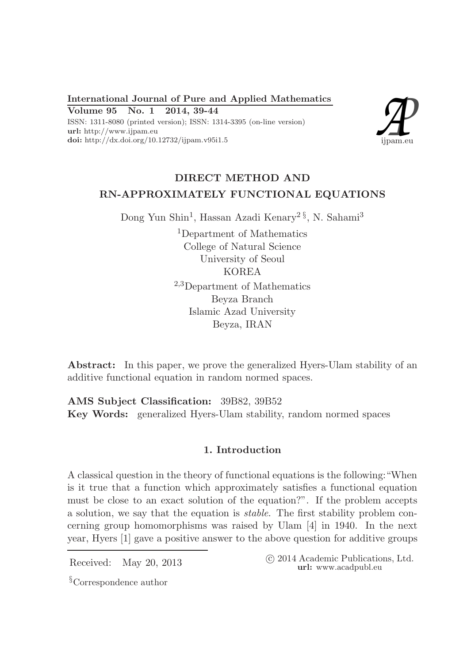International Journal of Pure and Applied Mathematics Volume 95 No. 1 2014, 39-44

ISSN: 1311-8080 (printed version); ISSN: 1314-3395 (on-line version) url: http://www.ijpam.eu doi: http://dx.doi.org/10.12732/ijpam.v95i1.5



# DIRECT METHOD AND RN-APPROXIMATELY FUNCTIONAL EQUATIONS

Dong Yun Shin<sup>1</sup>, Hassan Azadi Kenary<sup>2§</sup>, N. Sahami<sup>3</sup>

<sup>1</sup>Department of Mathematics College of Natural Science University of Seoul KOREA <sup>2</sup>,3Department of Mathematics Beyza Branch Islamic Azad University Beyza, IRAN

Abstract: In this paper, we prove the generalized Hyers-Ulam stability of an additive functional equation in random normed spaces.

AMS Subject Classification: 39B82, 39B52 Key Words: generalized Hyers-Ulam stability, random normed spaces

## 1. Introduction

A classical question in the theory of functional equations is the following:"When is it true that a function which approximately satisfies a functional equation must be close to an exact solution of the equation?". If the problem accepts a solution, we say that the equation is stable. The first stability problem concerning group homomorphisms was raised by Ulam [4] in 1940. In the next year, Hyers [1] gave a positive answer to the above question for additive groups

Received: May 20, 2013 <sup>c</sup> 2014 Academic Publications, Ltd. url: www.acadpubl.eu

§Correspondence author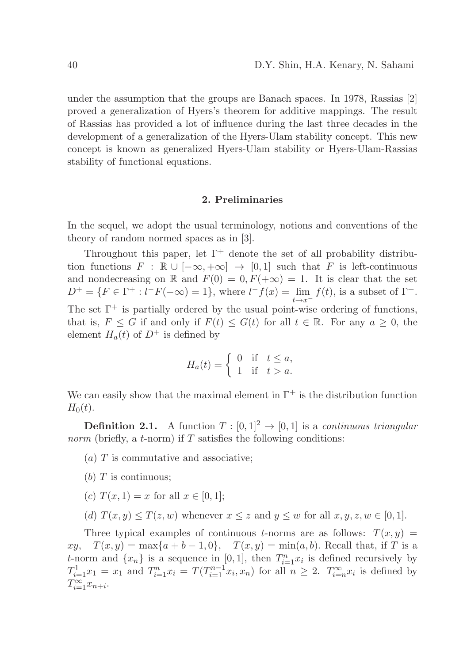under the assumption that the groups are Banach spaces. In 1978, Rassias [2] proved a generalization of Hyers's theorem for additive mappings. The result of Rassias has provided a lot of influence during the last three decades in the development of a generalization of the Hyers-Ulam stability concept. This new concept is known as generalized Hyers-Ulam stability or Hyers-Ulam-Rassias stability of functional equations.

### 2. Preliminaries

In the sequel, we adopt the usual terminology, notions and conventions of the theory of random normed spaces as in [3].

Throughout this paper, let  $\Gamma^+$  denote the set of all probability distribution functions  $F : \mathbb{R} \cup [-\infty, +\infty] \to [0, 1]$  such that F is left-continuous and nondecreasing on R and  $F(0) = 0, F(+\infty) = 1$ . It is clear that the set  $D^{+} = \{ F \in \Gamma^{+} : l^{-}F(-\infty) = 1 \},$  where  $l^{-}f(x) = \lim_{t \to x^{-}} f(t)$ , is a subset of  $\Gamma^{+}$ . The set  $\Gamma^+$  is partially ordered by the usual point-wise ordering of functions, that is,  $F \leq G$  if and only if  $F(t) \leq G(t)$  for all  $t \in \mathbb{R}$ . For any  $a \geq 0$ , the element  $H_a(t)$  of  $D^+$  is defined by

$$
H_a(t) = \begin{cases} 0 & \text{if } t \le a, \\ 1 & \text{if } t > a. \end{cases}
$$

We can easily show that the maximal element in  $\Gamma^+$  is the distribution function  $H_0(t)$ .

**Definition 2.1.** A function  $T : [0,1]^2 \rightarrow [0,1]$  is a *continuous triangular norm* (briefly, a *t*-norm) if  $T$  satisfies the following conditions:

- $(a)$  T is commutative and associative;
- (b)  $T$  is continuous;
- (c)  $T(x, 1) = x$  for all  $x \in [0, 1]$ ;
- (d)  $T(x, y) \leq T(z, w)$  whenever  $x \leq z$  and  $y \leq w$  for all  $x, y, z, w \in [0, 1]$ .

Three typical examples of continuous t-norms are as follows:  $T(x, y) =$  $xy, T(x, y) = \max\{a + b - 1, 0\}, T(x, y) = \min(a, b)$ . Recall that, if T is a t-norm and  $\{x_n\}$  is a sequence in [0, 1], then  $T_{i=1}^n x_i$  is defined recursively by  $T_{i=1}^1 x_1 = x_1$  and  $T_{i=1}^n x_i = T(T_{i=1}^{n-1} x_i, x_n)$  for all  $n \geq 2$ .  $T_{i=n}^{\infty} x_i$  is defined by  $T_{i=1}^{\infty}x_{n+i}.$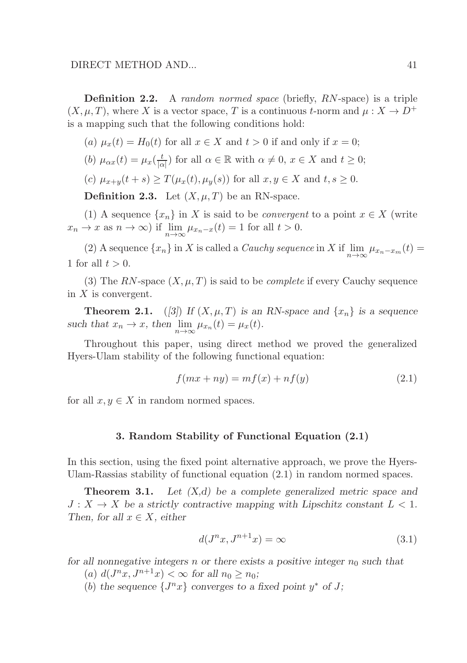Definition 2.2. A random normed space (briefly, RN-space) is a triple  $(X, \mu, T)$ , where X is a vector space, T is a continuous t-norm and  $\mu : X \to D^+$ is a mapping such that the following conditions hold:

(a) 
$$
\mu_x(t) = H_0(t)
$$
 for all  $x \in X$  and  $t > 0$  if and only if  $x = 0$ ;

(b) 
$$
\mu_{\alpha x}(t) = \mu_x(\frac{t}{|\alpha|})
$$
 for all  $\alpha \in \mathbb{R}$  with  $\alpha \neq 0$ ,  $x \in X$  and  $t \geq 0$ ;

(c) 
$$
\mu_{x+y}(t+s) \geq T(\mu_x(t), \mu_y(s))
$$
 for all  $x, y \in X$  and  $t, s \geq 0$ .

**Definition 2.3.** Let  $(X, \mu, T)$  be an RN-space.

(1) A sequence  $\{x_n\}$  in X is said to be *convergent* to a point  $x \in X$  (write  $x_n \to x$  as  $n \to \infty$ ) if  $\lim_{n \to \infty} \mu_{x_n-x}(t) = 1$  for all  $t > 0$ .

(2) A sequence  $\{x_n\}$  in X is called a *Cauchy sequence* in X if  $\lim_{n\to\infty} \mu_{x_n-x_m}(t) =$ 1 for all  $t > 0$ .

(3) The RN-space  $(X, \mu, T)$  is said to be *complete* if every Cauchy sequence in  $X$  is convergent.

**Theorem 2.1.** ([3]) If  $(X, \mu, T)$  is an RN-space and  $\{x_n\}$  is a sequence such that  $x_n \to x$ , then  $\lim_{n \to \infty} \mu_{x_n}(t) = \mu_x(t)$ .

Throughout this paper, using direct method we proved the generalized Hyers-Ulam stability of the following functional equation:

$$
f(mx+ny) = mf(x) + nf(y)
$$
\n(2.1)

for all  $x, y \in X$  in random normed spaces.

#### 3. Random Stability of Functional Equation (2.1)

In this section, using the fixed point alternative approach, we prove the Hyers-Ulam-Rassias stability of functional equation (2.1) in random normed spaces.

**Theorem 3.1.** Let  $(X,d)$  be a complete generalized metric space and  $J: X \to X$  be a strictly contractive mapping with Lipschitz constant  $L < 1$ . Then, for all  $x \in X$ , either

$$
d(J^n x, J^{n+1} x) = \infty \tag{3.1}
$$

for all nonnegative integers n or there exists a positive integer  $n_0$  such that

- (a)  $d(J^n x, J^{n+1} x) < \infty$  for all  $n_0 \ge n_0$ ;
- (b) the sequence  $\{J^n x\}$  converges to a fixed point  $y^*$  of J;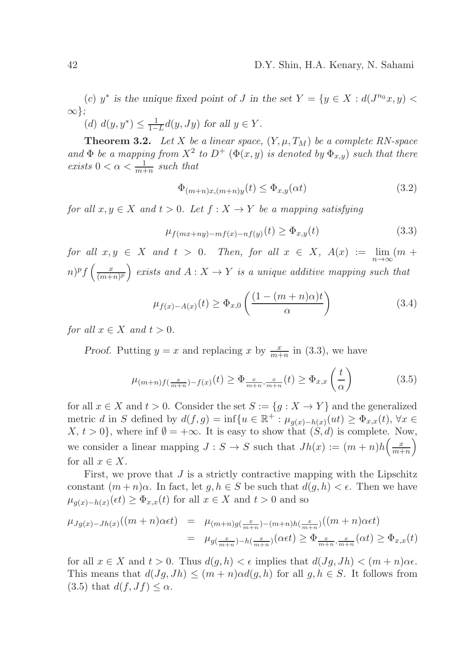(c)  $y^*$  is the unique fixed point of J in the set  $Y = \{y \in X : d(J^{n_0}x, y)$ ∞};

(d)  $d(y, y^*) \leq \frac{1}{1-L} d(y, Jy)$  for all  $y \in Y$ .

**Theorem 3.2.** Let X be a linear space,  $(Y, \mu, T_M)$  be a complete RN-space and  $\Phi$  be a mapping from  $X^2$  to  $D^+$  ( $\Phi(x, y)$  is denoted by  $\Phi_{x,y}$ ) such that there exists  $0 < \alpha < \frac{1}{m+n}$  such that

$$
\Phi_{(m+n)x,(m+n)y}(t) \le \Phi_{x,y}(\alpha t) \tag{3.2}
$$

for all  $x, y \in X$  and  $t > 0$ . Let  $f : X \to Y$  be a mapping satisfying

$$
\mu_{f(mx+ny)-mf(x)-nf(y)}(t) \ge \Phi_{x,y}(t) \tag{3.3}
$$

for all  $x, y \in X$  and  $t > 0$ . Then, for all  $x \in X$ ,  $A(x) := \lim_{n \to \infty} (m +$  $(n)^p f\left(\frac{x}{(m+1)^p}\right)$  $\left(\frac{x}{(m+n)^p}\right)$  exists and  $A: X \to Y$  is a unique additive mapping such that

$$
\mu_{f(x)-A(x)}(t) \ge \Phi_{x,0}\left(\frac{(1-(m+n)\alpha)t}{\alpha}\right) \tag{3.4}
$$

for all  $x \in X$  and  $t > 0$ .

Proof. Putting  $y = x$  and replacing x by  $\frac{x}{m+n}$  in (3.3), we have

$$
\mu_{(m+n)f\left(\frac{x}{m+n}\right)-f(x)}(t) \ge \Phi_{\frac{x}{m+n},\frac{x}{m+n}}(t) \ge \Phi_{x,x}\left(\frac{t}{\alpha}\right) \tag{3.5}
$$

for all  $x \in X$  and  $t > 0$ . Consider the set  $S := \{g : X \to Y\}$  and the generalized metric d in S defined by  $d(f,g) = \inf\{u \in \mathbb{R}^+ : \mu_{g(x)-h(x)}(ut) \geq \Phi_{x,x}(t), \forall x \in$  $X, t > 0$ , where inf  $\emptyset = +\infty$ . It is easy to show that  $(S, d)$  is complete. Now, we consider a linear mapping  $J: S \to S$  such that  $Jh(x) := (m+n)h\left(\frac{x}{m+n}\right)$  $\frac{x}{m+n}\right)$ for all  $x \in X$ .

First, we prove that  $J$  is a strictly contractive mapping with the Lipschitz constant  $(m+n)\alpha$ . In fact, let  $q, h \in S$  be such that  $d(q, h) < \epsilon$ . Then we have  $\mu_{g(x)-h(x)}(\epsilon t) \ge \Phi_{x,x}(t)$  for all  $x \in X$  and  $t > 0$  and so

$$
\mu_{Jg(x)-Jh(x)}((m+n)\alpha\epsilon t) = \mu_{(m+n)g(\frac{x}{m+n})-(m+n)h(\frac{x}{m+n})}((m+n)\alpha\epsilon t)
$$
  
=  $\mu_{g(\frac{x}{m+n})-h(\frac{x}{m+n})}(\alpha\epsilon t) \ge \Phi_{\frac{x}{m+n},\frac{x}{m+n}}(\alpha t) \ge \Phi_{x,x}(t)$ 

for all  $x \in X$  and  $t > 0$ . Thus  $d(g, h) < \epsilon$  implies that  $d(Jg, Jh) < (m + n)\alpha\epsilon$ . This means that  $d(Jg, Jh) \leq (m+n)\alpha d(g, h)$  for all  $g, h \in S$ . It follows from  $(3.5)$  that  $d(f, Jf) \leq \alpha$ .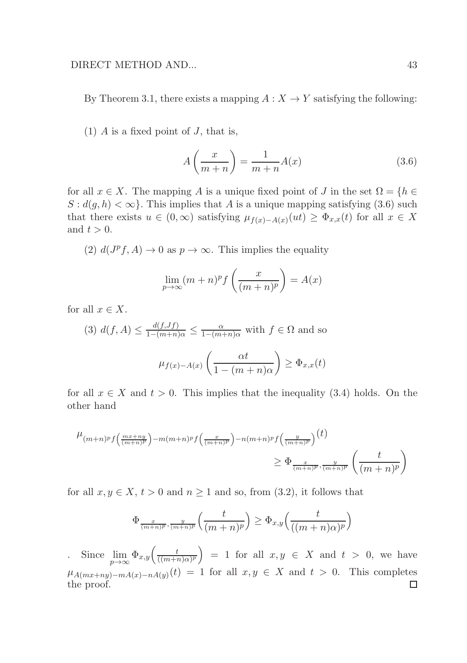By Theorem 3.1, there exists a mapping  $A: X \to Y$  satisfying the following:

(1)  $\tilde{A}$  is a fixed point of  $J$ , that is,

$$
A\left(\frac{x}{m+n}\right) = \frac{1}{m+n}A(x) \tag{3.6}
$$

for all  $x \in X$ . The mapping A is a unique fixed point of J in the set  $\Omega = \{h \in$  $S : d(g, h) < \infty$ . This implies that A is a unique mapping satisfying (3.6) such that there exists  $u \in (0, \infty)$  satisfying  $\mu_{f(x)-A(x)}(ut) \geq \Phi_{x,x}(t)$  for all  $x \in X$ and  $t > 0$ .

(2)  $d(J^p f, A) \to 0$  as  $p \to \infty$ . This implies the equality

$$
\lim_{p \to \infty} (m+n)^p f\left(\frac{x}{(m+n)^p}\right) = A(x)
$$

for all  $x \in X$ .

(3) 
$$
d(f, A) \le \frac{d(f, Jf)}{1 - (m+n)\alpha} \le \frac{\alpha}{1 - (m+n)\alpha}
$$
 with  $f \in \Omega$  and so  

$$
\mu_{f(x) - A(x)} \left( \frac{\alpha t}{1 - (m+n)\alpha} \right) \ge \Phi_{x,x}(t)
$$

for all  $x \in X$  and  $t > 0$ . This implies that the inequality (3.4) holds. On the other hand

$$
\mu_{(m+n)^p f\left(\frac{mx+ny}{(m+n)^p}\right) - m(m+n)^p f\left(\frac{x}{(m+n)^p}\right) - n(m+n)^p f\left(\frac{y}{(m+n)^p}\right)}(t)
$$
\n
$$
\geq \Phi_{\frac{x}{(m+n)^p}, \frac{y}{(m+n)^p}} \left(\frac{t}{(m+n)^p}\right)
$$

for all  $x, y \in X$ ,  $t > 0$  and  $n \ge 1$  and so, from (3.2), it follows that

$$
\Phi_{\frac{x}{(m+n)^p},\frac{y}{(m+n)^p}}\left(\frac{t}{(m+n)^p}\right) \ge \Phi_{x,y}\left(\frac{t}{((m+n)\alpha)^p}\right)
$$

Since  $\lim_{p\to\infty} \Phi_{x,y}\left(\frac{t}{((m+n)^2)^n}\right)$  $\left(\frac{t}{((m+n)\alpha)^p}\right) = 1$  for all  $x, y \in X$  and  $t > 0$ , we have  $\mu_{A(mx+ny)-mA(x)-nA(y)}(t) = 1$  for all  $x, y \in X$  and  $t > 0$ . This completes  $\Box$ the proof.